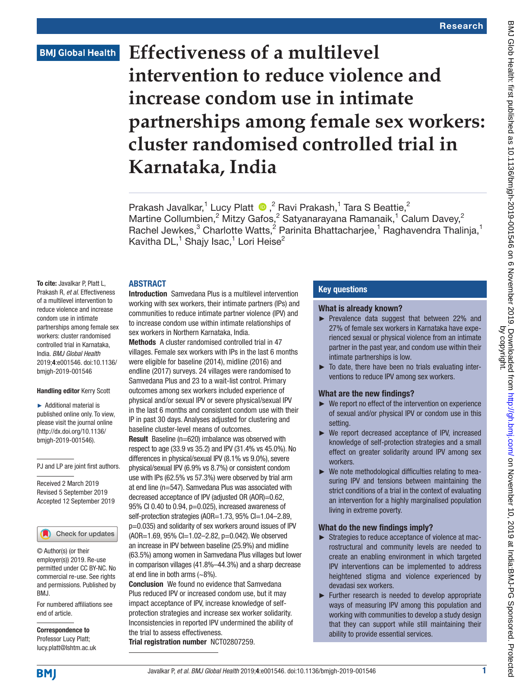# **BMJ Global Health**

# **Effectiveness of a multilevel intervention to reduce violence and increase condom use in intimate partnerships among female sex workers: cluster randomised controlled trial in Karnataka, India**

Prakash Javalkar,<sup>1</sup> Lucy Platt <sup>1</sup>, <sup>2</sup> Ravi Prakash,<sup>1</sup> Tara S Beattie,<sup>2</sup> Martine Collumbien,<sup>2</sup> Mitzy Gafos,<sup>2</sup> Satyanarayana Ramanaik,<sup>1</sup> Calum Davey,<sup>2</sup> Rachel Jewkes,<sup>3</sup> Charlotte Watts,<sup>2</sup> Parinita Bhattacharjee,<sup>1</sup> Raghavendra Thalinja,<sup>1</sup> Kavitha DL,<sup>1</sup> Shajy Isac,<sup>1</sup> Lori Heise<sup>2</sup>

#### **ABSTRACT**

To cite: Javalkar P, Platt L, Prakash R, *et al*. Effectiveness of a multilevel intervention to reduce violence and increase condom use in intimate partnerships among female sex workers: cluster randomised controlled trial in Karnataka, India. *BMJ Global Health* 2019;4:e001546. doi:10.1136/ bmjgh-2019-001546

#### Handling editor Kerry Scott

► Additional material is published online only. To view, please visit the journal online (http://dx.doi.org/10.1136/ bmjgh-2019-001546).

#### PJ and LP are joint first authors.

Received 2 March 2019 Revised 5 September 2019 Accepted 12 September 2019



© Author(s) (or their employer(s)) 2019. Re-use permitted under CC BY-NC. No commercial re-use. See rights and permissions. Published by BMJ.

For numbered affiliations see end of article.

Correspondence to Professor Lucy Platt; lucy.platt@lshtm.ac.uk Introduction Samvedana Plus is a multilevel intervention working with sex workers, their intimate partners (IPs) and communities to reduce intimate partner violence (IPV) and to increase condom use within intimate relationships of sex workers in Northern Karnataka, India.

Methods A cluster randomised controlled trial in 47 villages. Female sex workers with IPs in the last 6 months were eligible for baseline (2014), midline (2016) and endline (2017) surveys. 24 villages were randomised to Samvedana Plus and 23 to a wait-list control. Primary outcomes among sex workers included experience of physical and/or sexual IPV or severe physical/sexual IPV in the last 6 months and consistent condom use with their IP in past 30 days. Analyses adjusted for clustering and baseline cluster-level means of outcomes.

Result Baseline (n=620) imbalance was observed with respect to age (33.9 vs 35.2) and IPV (31.4% vs 45.0%). No differences in physical/sexual IPV (8.1% vs 9.0%), severe physical/sexual IPV (6.9% vs 8.7%) or consistent condom use with IPs (62.5% vs 57.3%) were observed by trial arm at end line (n=547). Samvedana Plus was associated with decreased acceptance of IPV (adjusted OR (AOR)=0.62, 95% CI 0.40 to 0.94, p=0.025), increased awareness of self-protection strategies (AOR=1.73, 95% CI=1.04-2.89, p=0.035) and solidarity of sex workers around issues of IPV (AOR=1.69, 95% CI=1.02–2.82, p=0.042). We observed an increase in IPV between baseline (25.9%) and midline (63.5%) among women in Samvedana Plus villages but lower in comparison villages (41.8%–44.3%) and a sharp decrease at end line in both arms (~8%).

Conclusion We found no evidence that Samvedana Plus reduced IPV or increased condom use, but it may impact acceptance of IPV, increase knowledge of selfprotection strategies and increase sex worker solidarity. Inconsistencies in reported IPV undermined the ability of the trial to assess effectiveness. Trial registration number [NCT02807259.](NCT02807259)

#### Key questions

#### What is already known?

- ► Prevalence data suggest that between 22% and 27% of female sex workers in Karnataka have experienced sexual or physical violence from an intimate partner in the past year, and condom use within their intimate partnerships is low.
- ► To date, there have been no trials evaluating interventions to reduce IPV among sex workers.

#### What are the new findings?

- ► We report no effect of the intervention on experience of sexual and/or physical IPV or condom use in this setting.
- ► We report decreased acceptance of IPV, increased knowledge of self-protection strategies and a small effect on greater solidarity around IPV among sex workers.
- ► We note methodological difficulties relating to measuring IPV and tensions between maintaining the strict conditions of a trial in the context of evaluating an intervention for a highly marginalised population living in extreme poverty.

#### What do the new findings imply?

- ► Strategies to reduce acceptance of violence at macrostructural and community levels are needed to create an enabling environment in which targeted IPV interventions can be implemented to address heightened stigma and violence experienced by devadasi sex workers.
- ► Further research is needed to develop appropriate ways of measuring IPV among this population and working with communities to develop a study design that they can support while still maintaining their ability to provide essential services.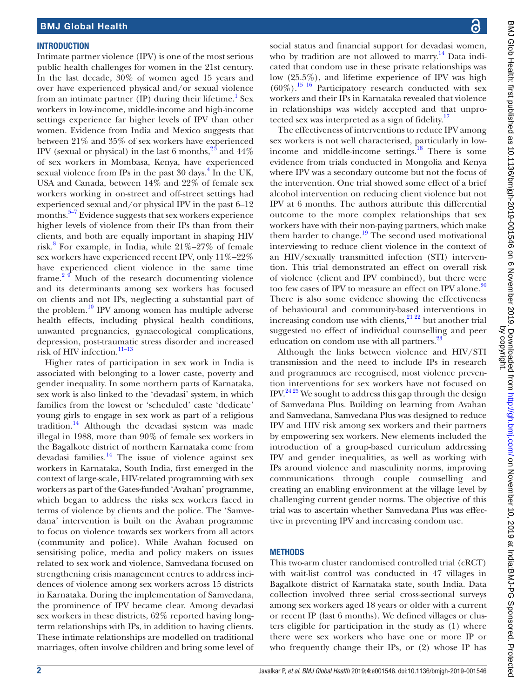#### **INTRODUCTION**

Intimate partner violence (IPV) is one of the most serious public health challenges for women in the 21st century. In the last decade, 30% of women aged 15 years and over have experienced physical and/or sexual violence from an intimate partner (IP) during their lifetime.<sup>[1](#page-13-0)</sup> Sex workers in low-income, middle-income and high-income settings experience far higher levels of IPV than other women. Evidence from India and Mexico suggests that between 21% and 35% of sex workers have experienced IPV (sexual or physical) in the last 6 months,  $2^3$  $2^3$  and  $44\%$ of sex workers in Mombasa, Kenya, have experienced sexual violence from IPs in the past 30 days.<sup>4</sup> In the UK, USA and Canada, between 14% and 22% of female sex workers working in on-street and off-street settings had experienced sexual and/or physical IPV in the past 6–12 months. $5-7$  Evidence suggests that sex workers experience higher levels of violence from their IPs than from their clients, and both are equally important in shaping HIV risk.<sup>[8](#page-13-5)</sup> For example, in India, while 21%-27% of female sex workers have experienced recent IPV, only 11%–22% have experienced client violence in the same time frame.<sup>[2 9](#page-13-1)</sup> Much of the research documenting violence and its determinants among sex workers has focused on clients and not IPs, neglecting a substantial part of the problem.<sup>10</sup> IPV among women has multiple adverse health effects, including physical health conditions, unwanted pregnancies, gynaecological complications, depression, post-traumatic stress disorder and increased risk of HIV infection.<sup>11-13</sup>

Higher rates of participation in sex work in India is associated with belonging to a lower caste, poverty and gender inequality. In some northern parts of Karnataka, sex work is also linked to the 'devadasi' system, in which families from the lowest or 'scheduled' caste 'dedicate' young girls to engage in sex work as part of a religious tradition.<sup>14</sup> Although the devadasi system was made illegal in 1988, more than 90% of female sex workers in the Bagalkote district of northern Karnataka come from devadasi families. $14$  The issue of violence against sex workers in Karnataka, South India, first emerged in the context of large-scale, HIV-related programming with sex workers as part of the Gates-funded 'Avahan' programme, which began to address the risks sex workers faced in terms of violence by clients and the police. The 'Samvedana' intervention is built on the Avahan programme to focus on violence towards sex workers from all actors (community and police). While Avahan focused on sensitising police, media and policy makers on issues related to sex work and violence, Samvedana focused on strengthening crisis management centres to address incidences of violence among sex workers across 15 districts in Karnataka. During the implementation of Samvedana, the prominence of IPV became clear. Among devadasi sex workers in these districts, 62% reported having longterm relationships with IPs, in addition to having clients. These intimate relationships are modelled on traditional marriages, often involve children and bring some level of BMJ Glob Health: first published as 10.1136/bmigh-2019-0019-0019-0016 on 6 November 2019. Downloaded from http://gh.bmj.com/ on November 10, 2019 at India:BMJ-PG Sponsored. Protected<br>by copyright in the published as 10.113 BMJ Glob Health: first published as 10.1136/bmjgh-2019-001546 on 6 November 2019. Downloaded from com/ on <http://gh.bmj.com/> on November 10, 2019 at India:BMJ-PG Sponsored. Protected by copyright.

social status and financial support for devadasi women, who by tradition are not allowed to marry.<sup>[14](#page-13-8)</sup> Data indicated that condom use in these private relationships was low (25.5%), and lifetime experience of IPV was high  $(60\%)$ .<sup>[15 16](#page-14-0)</sup> Participatory research conducted with sex workers and their IPs in Karnataka revealed that violence in relationships was widely accepted and that unpro-tected sex was interpreted as a sign of fidelity.<sup>[17](#page-14-1)</sup>

The effectiveness of interventions to reduce IPV among sex workers is not well characterised, particularly in lowincome and middle-income settings.<sup>18</sup> There is some evidence from trials conducted in Mongolia and Kenya where IPV was a secondary outcome but not the focus of the intervention. One trial showed some effect of a brief alcohol intervention on reducing client violence but not IPV at 6 months. The authors attribute this differential outcome to the more complex relationships that sex workers have with their non-paying partners, which make them harder to change.<sup>[19](#page-14-3)</sup> The second used motivational interviewing to reduce client violence in the context of an HIV/sexually transmitted infection (STI) intervention. This trial demonstrated an effect on overall risk of violence (client and IPV combined), but there were too few cases of IPV to measure an effect on IPV alone.<sup>[20](#page-14-4)</sup> There is also some evidence showing the effectiveness of behavioural and community-based interventions in increasing condom use with clients, $2^{122}$  but another trial suggested no effect of individual counselling and peer education on condom use with all partners.<sup>23</sup>

Although the links between violence and HIV/STI transmission and the need to include IPs in research and programmes are recognised, most violence prevention interventions for sex workers have not focused on  $IPV.<sup>2425</sup>$  We sought to address this gap through the design of Samvedana Plus. Building on learning from Avahan and Samvedana, Samvedana Plus was designed to reduce IPV and HIV risk among sex workers and their partners by empowering sex workers. New elements included the introduction of a group-based curriculum addressing IPV and gender inequalities, as well as working with IPs around violence and masculinity norms, improving communications through couple counselling and creating an enabling environment at the village level by challenging current gender norms. The objective of this trial was to ascertain whether Samvedana Plus was effective in preventing IPV and increasing condom use.

#### **METHODS**

This two-arm cluster randomised controlled trial (cRCT) with wait-list control was conducted in 47 villages in Bagalkote district of Karnataka state, south India. Data collection involved three serial cross-sectional surveys among sex workers aged 18 years or older with a current or recent IP (last 6 months). We defined villages or clusters eligible for participation in the study as (1) where there were sex workers who have one or more IP or who frequently change their IPs, or (2) whose IP has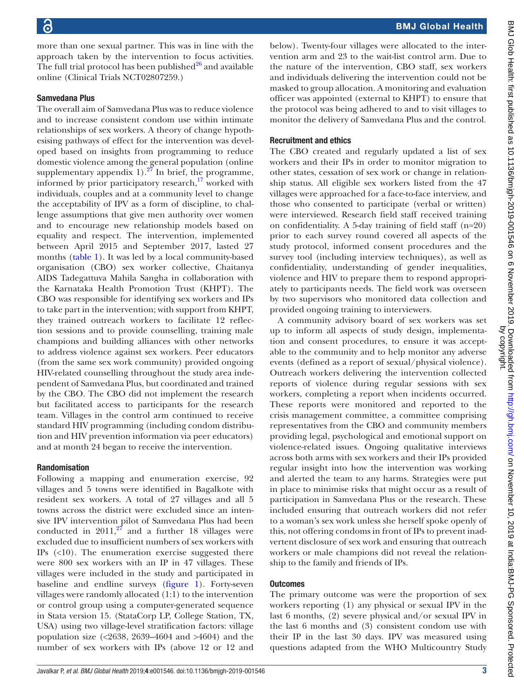more than one sexual partner. This was in line with the approach taken by the intervention to focus activities. The full trial protocol has been published $^{26}$  $^{26}$  $^{26}$  and available online (Clinical Trials NCT02807259.)

#### Samvedana Plus

The overall aim of Samvedana Plus was to reduce violence and to increase consistent condom use within intimate relationships of sex workers. A theory of change hypothesising pathways of effect for the intervention was developed based on insights from programming to reduce domestic violence among the general population [\(online](https://dx.doi.org/10.1136/bmjgh-2019-001546) [supplementary appendix 1\)](https://dx.doi.org/10.1136/bmjgh-2019-001546).<sup>27</sup> In brief, the programme, informed by prior participatory research, $17$  worked with individuals, couples and at a community level to change the acceptability of IPV as a form of discipline, to challenge assumptions that give men authority over women and to encourage new relationship models based on equality and respect. The intervention, implemented between April 2015 and September 2017, lasted 27 months ([table](#page-3-0) 1). It was led by a local community-based organisation (CBO) sex worker collective, Chaitanya AIDS Tadegattuva Mahila Sangha in collaboration with the Karnataka Health Promotion Trust (KHPT). The CBO was responsible for identifying sex workers and IPs to take part in the intervention; with support from KHPT, they trained outreach workers to facilitate 12 reflection sessions and to provide counselling, training male champions and building alliances with other networks to address violence against sex workers. Peer educators (from the same sex work community) provided ongoing HIV-related counselling throughout the study area independent of Samvedana Plus, but coordinated and trained by the CBO. The CBO did not implement the research but facilitated access to participants for the research team. Villages in the control arm continued to receive standard HIV programming (including condom distribution and HIV prevention information via peer educators) and at month 24 began to receive the intervention.

#### Randomisation

Following a mapping and enumeration exercise, 92 villages and 5 towns were identified in Bagalkote with resident sex workers. A total of 27 villages and all 5 towns across the district were excluded since an intensive IPV intervention pilot of Samvedana Plus had been conducted in  $2011$ ,  $27$  and a further 18 villages were excluded due to insufficient numbers of sex workers with IPs (<10). The enumeration exercise suggested there were 800 sex workers with an IP in 47 villages. These villages were included in the study and participated in baseline and endline surveys ([figure](#page-4-0) 1). Forty-seven villages were randomly allocated (1:1) to the intervention or control group using a computer-generated sequence in Stata version 15. (StataCorp LP, College Station, TX, USA) using two village-level stratification factors: village population size (<2638, 2639–4604 and >4604) and the number of sex workers with IPs (above 12 or 12 and

below). Twenty-four villages were allocated to the intervention arm and 23 to the wait-list control arm. Due to the nature of the intervention, CBO staff, sex workers and individuals delivering the intervention could not be masked to group allocation. A monitoring and evaluation officer was appointed (external to KHPT) to ensure that the protocol was being adhered to and to visit villages to monitor the delivery of Samvedana Plus and the control.

#### Recruitment and ethics

The CBO created and regularly updated a list of sex workers and their IPs in order to monitor migration to other states, cessation of sex work or change in relationship status. All eligible sex workers listed from the 47 villages were approached for a face-to-face interview, and those who consented to participate (verbal or written) were interviewed. Research field staff received training on confidentiality. A 5-day training of field staff  $(n=20)$ prior to each survey round covered all aspects of the study protocol, informed consent procedures and the survey tool (including interview techniques), as well as confidentiality, understanding of gender inequalities, violence and HIV to prepare them to respond appropriately to participants needs. The field work was overseen by two supervisors who monitored data collection and provided ongoing training to interviewers.

A community advisory board of sex workers was set up to inform all aspects of study design, implementation and consent procedures, to ensure it was acceptable to the community and to help monitor any adverse events (defined as a report of sexual/physical violence). Outreach workers delivering the intervention collected reports of violence during regular sessions with sex workers, completing a report when incidents occurred. These reports were monitored and reported to the crisis management committee, a committee comprising representatives from the CBO and community members providing legal, psychological and emotional support on violence-related issues. Ongoing qualitative interviews across both arms with sex workers and their IPs provided regular insight into how the intervention was working and alerted the team to any harms. Strategies were put in place to minimise risks that might occur as a result of participation in Samvedana Plus or the research. These included ensuring that outreach workers did not refer to a woman's sex work unless she herself spoke openly of this, not offering condoms in front of IPs to prevent inadvertent disclosure of sex work and ensuring that outreach workers or male champions did not reveal the relationship to the family and friends of IPs.

#### **Outcomes**

The primary outcome was were the proportion of sex workers reporting (1) any physical or sexual IPV in the last 6 months, (2) severe physical and/or sexual IPV in the last 6 months and (3) consistent condom use with their IP in the last 30 days. IPV was measured using questions adapted from the WHO Multicountry Study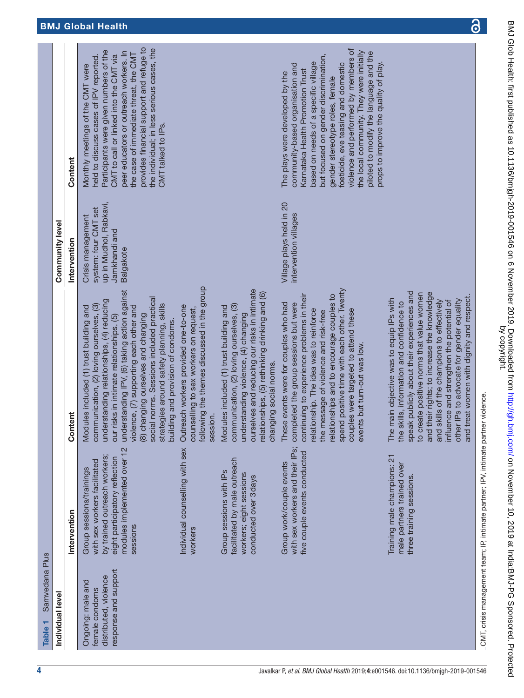<span id="page-3-0"></span>

| Samvedana Plus<br>Table 1                                                            |                                                                                                                                                                                                                     |                                                                                                                                                                                                                                                                                                                                                                                                                                                                                                                                                  |                                                                                                   |                                                                                                                                                                                                                                                                                                                                                                                                                                           |
|--------------------------------------------------------------------------------------|---------------------------------------------------------------------------------------------------------------------------------------------------------------------------------------------------------------------|--------------------------------------------------------------------------------------------------------------------------------------------------------------------------------------------------------------------------------------------------------------------------------------------------------------------------------------------------------------------------------------------------------------------------------------------------------------------------------------------------------------------------------------------------|---------------------------------------------------------------------------------------------------|-------------------------------------------------------------------------------------------------------------------------------------------------------------------------------------------------------------------------------------------------------------------------------------------------------------------------------------------------------------------------------------------------------------------------------------------|
| Individual level                                                                     |                                                                                                                                                                                                                     |                                                                                                                                                                                                                                                                                                                                                                                                                                                                                                                                                  | Community level                                                                                   |                                                                                                                                                                                                                                                                                                                                                                                                                                           |
|                                                                                      | Intervention                                                                                                                                                                                                        | Content                                                                                                                                                                                                                                                                                                                                                                                                                                                                                                                                          | Intervention                                                                                      | Content                                                                                                                                                                                                                                                                                                                                                                                                                                   |
| response and support<br>distributed, violence<br>Ongoing: male and<br>female condoms | Individual counselling with sex<br>modules implemented over 12<br>by trained outreach workers;<br>eight participatory reflection<br>with sex workers facilitated<br>Group sessions/trainings<br>sessions<br>workers | understanding IPV, (6) taking action against<br>social norms. Sessions included practical<br>understanding relationships, (4) reducing<br>strategies around safety planning, skills<br>communication, (2) loving ourselves, (3)<br>Outreach workers provided one-to-one<br>violence, (7) supporting each other and<br>Modules included (1) trust building and<br>counselling to sex workers on request,<br>(8) changing ourselves and changing<br>risks in intimate relationships, (5)<br>building and provision of condoms.<br>our <sub>1</sub> | up in Mudhol, Rabkavi,<br>system: four CMT set<br>Crisis management<br>Jamkhandi and<br>Balgakote | provides financial support and refuge to<br>the individual; in less serious cases, the<br>Participants were given numbers of the<br>peer educators or outreach workers. In<br>the case of immediate threat, the CMT<br>CMT to call or linked into the CMT via<br>held to discuss cases of IPV reported.<br>Monthly meetings of the CMT were<br>CMT talked to IPs.                                                                         |
|                                                                                      | facilitated by male outreach<br>Group sessions with IPs<br>workers; eight sessions<br>conducted over 3 days                                                                                                         | following the themes discussed in the group<br>ourselves and reducing our risks in intimate<br>relationships, (5) rethinking drinking and (6)<br>communication, (2) loving ourselves, (3)<br>Modules included (1) trust building and<br>understanding violence, (4) changing<br>changing social norms.<br>session.                                                                                                                                                                                                                               |                                                                                                   |                                                                                                                                                                                                                                                                                                                                                                                                                                           |
|                                                                                      | with sex workers and their IPs;<br>five couple events conducted<br>Group work/couple events                                                                                                                         | spend positive time with each other. Twenty<br>relationships and to encourage couples to<br>continuing to experience problems in their<br>completed the group sessions but were<br>These events were for couples who had<br>relationship. The idea was to reinforce<br>couples were targeted to attend these<br>the message of violence and risk-free<br>events but turn-out was low.                                                                                                                                                            | Village plays held in 20<br>intervention villages                                                 | violence and performed by members of<br>the local community. They were initially<br>piloted to modify the language and the<br>but focused on gender discrimination,<br>props to improve the quality of play.<br>based on needs of a specific village<br>foeticide, eve teasing and domestic<br>community-based organisation and<br>Karnataka Health Promotion Trust<br>The plays were developed by the<br>gender stereotype roles, female |
|                                                                                      | Training male champions: 21<br>male partners trained over<br>three training sessions                                                                                                                                | speak publicly about their experiences and<br>and their rights; to increase the knowledge<br>to create positive norms that value women<br>and treat women with dignity and respect.<br>The main objective was to equip IPs with<br>other IPs to advocate for gender equality<br>and skills of the champions to effectively<br>influence and strengthen the potential of<br>the skills, information and confidence to                                                                                                                             |                                                                                                   |                                                                                                                                                                                                                                                                                                                                                                                                                                           |
|                                                                                      | CMT, crisis management team; IP, intimate partner; IPV, intimate partner violence.                                                                                                                                  |                                                                                                                                                                                                                                                                                                                                                                                                                                                                                                                                                  |                                                                                                   |                                                                                                                                                                                                                                                                                                                                                                                                                                           |

 $\overline{\mathbf{a}}$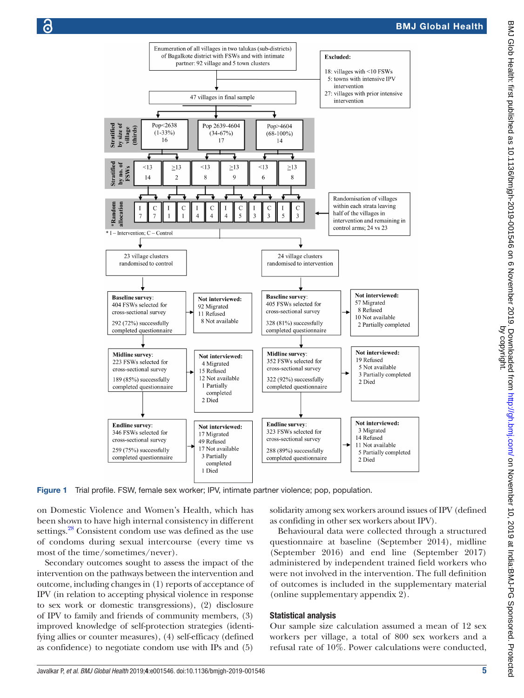#### BMJ Global Health



Figure 1 Trial profile. FSW, female sex worker; IPV, intimate partner violence; pop, population.

on Domestic Violence and Women's Health, which has been shown to have high internal consistency in different settings.<sup>28</sup> Consistent condom use was defined as the use of condoms during sexual intercourse (every time vs most of the time/sometimes/never).

Secondary outcomes sought to assess the impact of the intervention on the pathways between the intervention and outcome, including changes in (1) reports of acceptance of IPV (in relation to accepting physical violence in response to sex work or domestic transgressions), (2) disclosure of IPV to family and friends of community members, (3) improved knowledge of self-protection strategies (identifying allies or counter measures), (4) self-efficacy (defined as confidence) to negotiate condom use with IPs and (5)

<span id="page-4-0"></span>solidarity among sex workers around issues of IPV (defined as confiding in other sex workers about IPV).

Behavioural data were collected through a structured questionnaire at baseline (September 2014), midline (September 2016) and end line (September 2017) administered by independent trained field workers who were not involved in the intervention. The full definition of outcomes is included in the supplementary material [\(online supplementary appendix 2](https://dx.doi.org/10.1136/bmjgh-2019-001546)).

#### Statistical analysis

Our sample size calculation assumed a mean of 12 sex workers per village, a total of 800 sex workers and a refusal rate of 10%. Power calculations were conducted,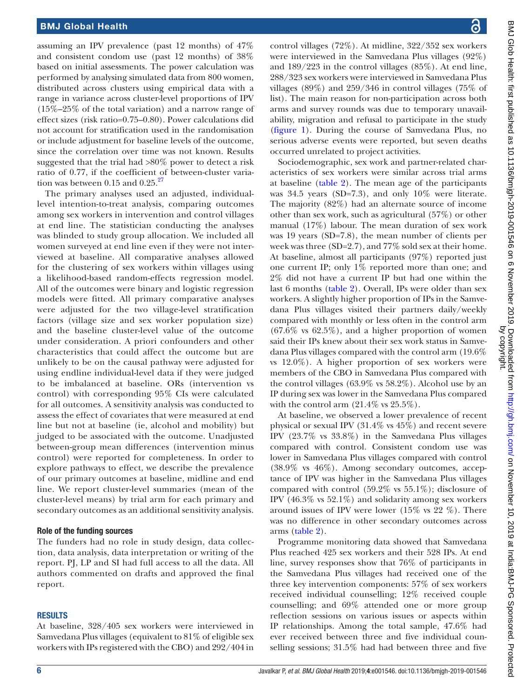assuming an IPV prevalence (past 12 months) of 47% and consistent condom use (past 12 months) of 38% based on initial assessments. The power calculation was performed by analysing simulated data from 800 women, distributed across clusters using empirical data with a range in variance across cluster-level proportions of IPV (15%–25% of the total variation) and a narrow range of effect sizes (risk ratio=0.75–0.80). Power calculations did not account for stratification used in the randomisation or include adjustment for baseline levels of the outcome, since the correlation over time was not known. Results suggested that the trial had >80% power to detect a risk ratio of 0.77, if the coefficient of between-cluster variation was between  $0.15$  and  $0.25.^{27}$ 

The primary analyses used an adjusted, individuallevel intention-to-treat analysis, comparing outcomes among sex workers in intervention and control villages at end line. The statistician conducting the analyses was blinded to study group allocation. We included all women surveyed at end line even if they were not interviewed at baseline. All comparative analyses allowed for the clustering of sex workers within villages using a likelihood-based random-effects regression model. All of the outcomes were binary and logistic regression models were fitted. All primary comparative analyses were adjusted for the two village-level stratification factors (village size and sex worker population size) and the baseline cluster-level value of the outcome under consideration. A priori confounders and other characteristics that could affect the outcome but are unlikely to be on the causal pathway were adjusted for using endline individual-level data if they were judged to be imbalanced at baseline. ORs (intervention vs control) with corresponding 95% CIs were calculated for all outcomes. A sensitivity analysis was conducted to assess the effect of covariates that were measured at end line but not at baseline (ie, alcohol and mobility) but judged to be associated with the outcome. Unadjusted between-group mean differences (intervention minus control) were reported for completeness. In order to explore pathways to effect, we describe the prevalence of our primary outcomes at baseline, midline and end line. We report cluster-level summaries (mean of the cluster-level means) by trial arm for each primary and secondary outcomes as an additional sensitivity analysis.

#### Role of the funding sources

The funders had no role in study design, data collection, data analysis, data interpretation or writing of the report. PJ, LP and SI had full access to all the data. All authors commented on drafts and approved the final report.

#### **RESULTS**

At baseline, 328/405 sex workers were interviewed in Samvedana Plus villages (equivalent to 81% of eligible sex workers with IPs registered with the CBO) and 292/404 in

control villages (72%). At midline, 322/352 sex workers were interviewed in the Samvedana Plus villages (92%) and 189/223 in the control villages (85%). At end line, 288/323 sex workers were interviewed in Samvedana Plus villages (89%) and 259/346 in control villages (75% of list). The main reason for non-participation across both arms and survey rounds was due to temporary unavailability, migration and refusal to participate in the study [\(figure](#page-4-0) 1). During the course of Samvedana Plus, no serious adverse events were reported, but seven deaths occurred unrelated to project activities.

Sociodemographic, sex work and partner-related characteristics of sex workers were similar across trial arms at baseline [\(table](#page-6-0) 2). The mean age of the participants was 34.5 years (SD=7.3), and only 10% were literate. The majority (82%) had an alternate source of income other than sex work, such as agricultural (57%) or other manual (17%) labour. The mean duration of sex work was 19 years (SD=7.8), the mean number of clients per week was three (SD=2.7), and 77% sold sex at their home. At baseline, almost all participants (97%) reported just one current IP; only 1% reported more than one; and 2% did not have a current IP but had one within the last 6 months [\(table](#page-6-0) 2). Overall, IPs were older than sex workers. A slightly higher proportion of IPs in the Samvedana Plus villages visited their partners daily/weekly compared with monthly or less often in the control arm  $(67.6\%$  vs  $62.5\%)$ , and a higher proportion of women said their IPs knew about their sex work status in Samvedana Plus villages compared with the control arm (19.6% vs 12.0%). A higher proportion of sex workers were members of the CBO in Samvedana Plus compared with the control villages (63.9% vs 58.2%). Alcohol use by an IP during sex was lower in the Samvedana Plus compared with the control arm  $(21.4\% \text{ vs } 25.5\%).$ 

At baseline, we observed a lower prevalence of recent physical or sexual IPV (31.4% vs 45%) and recent severe IPV (23.7% vs 33.8%) in the Samvedana Plus villages compared with control. Consistent condom use was lower in Samvedana Plus villages compared with control (38.9% vs 46%). Among secondary outcomes, acceptance of IPV was higher in the Samvedana Plus villages compared with control (59.2% vs 55.1%); disclosure of IPV (46.3% vs 52.1%) and solidarity among sex workers around issues of IPV were lower (15% vs 22 %). There was no difference in other secondary outcomes across arms [\(table](#page-6-0) 2).

Programme monitoring data showed that Samvedana Plus reached 425 sex workers and their 528 IPs. At end line, survey responses show that 76% of participants in the Samvedana Plus villages had received one of the three key intervention components: 57% of sex workers received individual counselling; 12% received couple counselling; and 69% attended one or more group reflection sessions on various issues or aspects within IP relationships. Among the total sample, 47.6% had ever received between three and five individual counselling sessions; 31.5% had had between three and five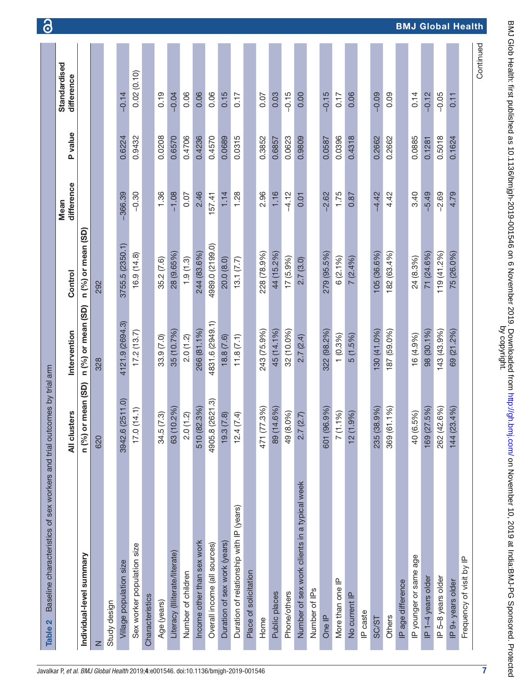| Baseline characteristics of sex workers and trial outcomes by trial arm<br>Table 2 |                                |                    |                               |                    |         |                            |
|------------------------------------------------------------------------------------|--------------------------------|--------------------|-------------------------------|--------------------|---------|----------------------------|
|                                                                                    | All clusters                   | Intervention       | Control                       | difference<br>Mean | P value | Standardised<br>difference |
| Individual-level summary                                                           | mean (SD)<br>n (%) or          | n (%) or mean (SD) | n $(^{9}_{0})$ or mean $(SD)$ |                    |         |                            |
| Z                                                                                  | 620                            | 328                | 292                           |                    |         |                            |
| Study design                                                                       |                                |                    |                               |                    |         |                            |
| Village population size                                                            | 3942.6 (2511.0)                | 4121.9 (2694.3)    | 3755.5 (2350.1)               | $-366.39$          | 0.6224  | $-0.14$                    |
| Sex worker population size                                                         | 4.1)<br>17.0 (1                | 17.2(13.7)         | 16.9(14.8)                    | $-0.30$            | 0.9432  | 0.02(0.10)                 |
| Characteristics                                                                    |                                |                    |                               |                    |         |                            |
| Age (years)                                                                        | 34.5(7.3)                      | 33.9 (7.0)         | 35.2(7.6)                     | 1.36               | 0.0208  | 0.19                       |
| Literacy (Illiterate/literate)                                                     | 2%<br>63 (10.                  | 35 (10.7%)         | 28 (9.65%)                    | $-1.08$            | 0.6570  | $-0.04$                    |
| Number of children                                                                 | $\widetilde{\Omega}$<br>2.0(1) | 2.0(1.2)           | 1.9(1.3)                      | 0.07               | 0.4706  | 0.06                       |
| Income other than sex work                                                         | .3%<br>510 (82                 | 266 (81.1%)        | 244 (83.6%)                   | 2.46               | 0.4236  | 0.06                       |
| Overall income (all sources)                                                       | 4905.8 (2621.3)                | 4831.6 (2949.1)    | 4989.0 (2199.0)               | 157.41             | 0.4570  | 0.06                       |
| Duration of sex work (years)                                                       | 19.3(7.8)                      | 18.8(7.6)          | 20.0(8.0)                     | 1.14               | 0.0689  | 0.15                       |
| Duration of relationship with IP (years)                                           | 12.4(7.4)                      | 11.8(7.1)          | 13.1 (7.7)                    | 1.28               | 0.0315  | 0.17                       |
| Place of solicitation                                                              |                                |                    |                               |                    |         |                            |
| Home                                                                               | .3%<br>471 (77.                | 243 (75.9%)        | 228 (78.9%)                   | 2.96               | 0.3852  | 0.07                       |
| Public places                                                                      | .6%<br>89 (14.                 | 45 (14.1%)         | 44 (15.2%)                    | 1.16               | 0.6857  | 0.03                       |
| Phone/others                                                                       | 49 (8.0%)                      | 32 (10.0%)         | $17(5.9\%)$                   | $-4.12$            | 0.0623  | $-0.15$                    |
| Number of sex work clients in a typical week                                       | 2.7(2.7)                       | 2.7(2.4)           | 2.7(3.0)                      | 0.01               | 0.9809  | 0.00                       |
| Number of IPs                                                                      |                                |                    |                               |                    |         |                            |
| One IP                                                                             | .9%<br>601 (96                 | 322 (98.2%)        | 279 (95.5%)                   | $-2.62$            | 0.0587  | $-0.15$                    |
| More than one IP                                                                   | 86)<br>7(1.1)                  | 1(0.3%)            | 6(2.1%)                       | 1.75               | 0.0396  | 0.17                       |
| No current IP                                                                      | 12(1.9%)                       | $5(1.5\%)$         | 7(2.4%)                       | 0.87               | 0.4318  | 0.06                       |
| IP caste                                                                           |                                |                    |                               |                    |         |                            |
| SC/ST                                                                              | 235 (38.9%)                    | 130 (41.0%)        | 105 (36.6%)                   | $-4.42$            | 0.2662  | $-0.09$                    |
| Others                                                                             | .1%<br>369 (61                 | 187 (59.0%)        | 182 (63.4%)                   | 4.42               | 0.2662  | 0.09                       |
| IP age difference                                                                  |                                |                    |                               |                    |         |                            |
| IP younger or same age                                                             | 40 (6.5%)                      | 16 (4.9%)          | 24 (8.3%)                     | 3.40               | 0.0885  | 0.14                       |
| IP 1-4 years older                                                                 | .5%)<br>169 (27                | 98 (30.1%)         | 71 (24.6%)                    | $-5.49$            | 0.1281  | $-0.12$                    |
| IP 5-8 years older                                                                 | 262 (42.6%)                    | 143 (43.9%)        | 119 (41.2%)                   | $-2.69$            | 0.5018  | $-0.05$                    |
| IP 9+ years older                                                                  | 144 (23.4%)                    | 69 (21.2%)         | 75 (26.0%)                    | 4.79               | 0.1624  | 0.11                       |
| Frequency of visit by IP                                                           |                                |                    |                               |                    |         |                            |
|                                                                                    |                                |                    |                               |                    |         | Continued                  |

BMJ Glob Health: first published as 10.1136/bmigh-2019-001546 on 6 November 2019. Downloaded from http://gh.bmj.com/ on November 10, 2019 at India:BMJ-PG Sponsored. Protected<br>by copyright. BMJ Glob Health: first published as 10.1136/bmjgh-2019-001546 on 6 November 2019. Downloaded from com/ on <http://gh.bmj.com/> on November 10, 2019 at India:BMJ-PG Sponsored. Protected by copyright.

<span id="page-6-0"></span>7

BMJ Global Health

C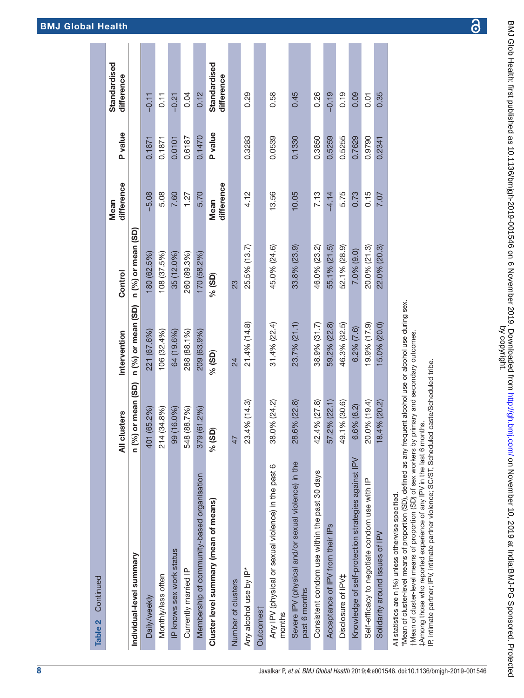| Table 2 Continued                                                                                                                                                      |                      |                         |                      |                    |         |                                   |
|------------------------------------------------------------------------------------------------------------------------------------------------------------------------|----------------------|-------------------------|----------------------|--------------------|---------|-----------------------------------|
|                                                                                                                                                                        | All clusters         | Intervention            | Control              | difference<br>Mean | P value | Standardised<br>difference        |
| Individual-level summary                                                                                                                                               | $n$ (%) or mean (SD) | n $(%$ ) or mean $(SD)$ | $n$ (%) or mean (SD) |                    |         |                                   |
| Daily/weekly                                                                                                                                                           | 401 (65.2%)          | 221 (67.6%)             | 180 (62.5%)          | $-5.08$            | 0.1871  | $-0.11$                           |
| Monthly/less often                                                                                                                                                     | 214 (34.8%)          | $106(32.4\%)$           | 108 (37.5%)          | 5.08               | 0.1871  | $\overline{0.11}$                 |
| IP knows sex work status                                                                                                                                               | 99 (16.0%)           | 64 (19.6%)              | 35 (12.0%)           | 7.60               | 0.0101  | $-0.21$                           |
| Currently married IP                                                                                                                                                   | 548 (88.7%)          | 288 (88.1%)             | 260 (89.3%)          | 1.27               | 0.6187  | 0.04                              |
| Membership of community-based organisation                                                                                                                             | 379 (61.2%)          | 209 (63.9%)             | 170 (58.2%)          | 5.70               | 0.1470  | 0.12                              |
| Cluster level summary (mean of means)                                                                                                                                  | <u>ິດ</u><br>४       | $\sqrt{3}$ (SD)         | % (SD)               | difference<br>Mean | P value | <b>Standardised</b><br>difference |
| Number of clusters                                                                                                                                                     | 47                   | 24                      | 23                   |                    |         |                                   |
| Any alcohol use by IP*                                                                                                                                                 | 23.4% (14.3)         | 21.4% (14.8)            | 25.5% (13.7)         | 4.12               | 0.3283  | 0.29                              |
| Outcomes†                                                                                                                                                              |                      |                         |                      |                    |         |                                   |
| Any IPV (physical or sexual violence) in the past 6<br>months                                                                                                          | 38.0% (24.2)         | 31.4% (22.4)            | 45.0% (24.6)         | 13.56              | 0.0539  | 0.58                              |
| Severe IPV (physical and/or sexual violence) in the<br>past 6 months                                                                                                   | 28.6% (22.8)         | 23.7% (21.1)            | 33.8% (23.9)         | 10.05              | 0.1330  | 0.45                              |
| Consistent condom use within the past 30 days                                                                                                                          | 42.4% (27.8)         | 38.9% (31.7)            | 46.0% (23.2)         | 7.13               | 0.3850  | 0.26                              |
| Acceptance of IPV from their IPs                                                                                                                                       | 57.2% (22.1)         | 59.2% (22.8)            | 55.1% (21.5)         | $-4.14$            | 0.5259  | $-0.19$                           |
| Disclosure of IPV <sub>+</sub>                                                                                                                                         | 49.1% (30.6)         | 46.3% (32.5)            | 52.1% (28.9)         | 5.75               | 0.5255  | 0.19                              |
| Knowledge of self-protection strategies against IPV                                                                                                                    | 6.6% (8.2)           | 6.2% (7.6)              | 7.0% (9.0)           | 0.73               | 0.7629  | 0.09                              |
| Self-efficacy to negotiate condom use with IP                                                                                                                          | 20.0% (19.4)         | 19.9% (17.9)            | 20.0% (21.3)         | 0.15               | 0.9790  | <b>50.01</b>                      |
| Solidarity around issues of IPV                                                                                                                                        | $8.4%$ (20.2)        | 15.0% (20.0)            | 22.0% (20.3)         | 7.07               | 0.2341  | 0.35                              |
| "Mean of cluster-level means of proportion (SD), defined as any frequent alcohol use or alcohol use during sex.<br>All statistics are n (%) unless otherwise specified |                      |                         |                      |                    |         |                                   |

\*Mean of cluster-level means of proportion (SD), defined as any frequent alcohol use or alcohol use during sex.

wearrol cuaser-rever inears or proportion (SD), denined as any inequent accomor use or accomor use uniform of cluster-level means of proportion (SD) of sex workers by primary and secondary outcomes.<br>‡Among those who report †Mean of cluster-level means of proportion (SD) of sex workers by primary and secondary outcomes.

‡Among those who reported experience of any IPV in the last 6 months.

IP, intimate partner; IPV, intimate partner violence; SC/ST, Scheduled caste/Scheduled tribe.

 $\overline{\partial}$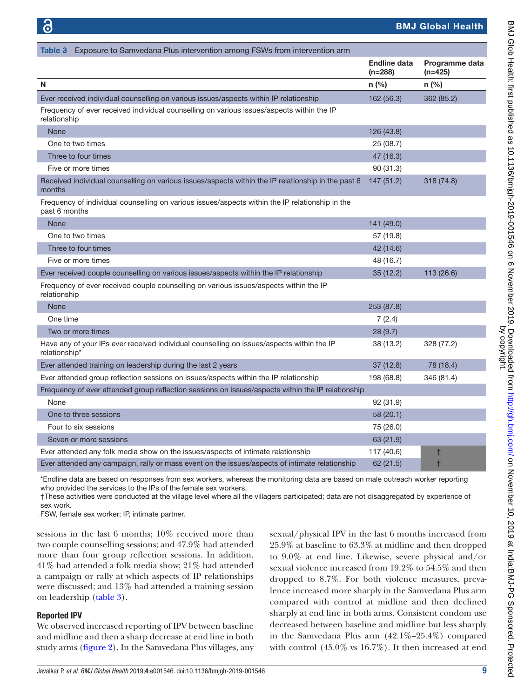<span id="page-8-0"></span>

| Exposure to Samvedana Plus intervention among FSWs from intervention arm<br>Table 3                              |                                  |                           |
|------------------------------------------------------------------------------------------------------------------|----------------------------------|---------------------------|
|                                                                                                                  | <b>Endline data</b><br>$(n=288)$ | Programme data<br>(n=425) |
| N                                                                                                                | n (%)                            | $n$ (%)                   |
| Ever received individual counselling on various issues/aspects within IP relationship                            | 162 (56.3)                       | 362 (85.2)                |
| Frequency of ever received individual counselling on various issues/aspects within the IP<br>relationship        |                                  |                           |
| <b>None</b>                                                                                                      | 126 (43.8)                       |                           |
| One to two times                                                                                                 | 25 (08.7)                        |                           |
| Three to four times                                                                                              | 47 (16.3)                        |                           |
| Five or more times                                                                                               | 90(31.3)                         |                           |
| Received individual counselling on various issues/aspects within the IP relationship in the past 6<br>months     | 147 (51.2)                       | 318 (74.8)                |
| Frequency of individual counselling on various issues/aspects within the IP relationship in the<br>past 6 months |                                  |                           |
| <b>None</b>                                                                                                      | 141 (49.0)                       |                           |
| One to two times                                                                                                 | 57 (19.8)                        |                           |
| Three to four times                                                                                              | 42 (14.6)                        |                           |
| Five or more times                                                                                               | 48 (16.7)                        |                           |
| Ever received couple counselling on various issues/aspects within the IP relationship                            | 35(12.2)                         | 113 (26.6)                |
| Frequency of ever received couple counselling on various issues/aspects within the IP<br>relationship            |                                  |                           |
| <b>None</b>                                                                                                      | 253 (87.8)                       |                           |
| One time                                                                                                         | 7(2.4)                           |                           |
| Two or more times                                                                                                | 28(9.7)                          |                           |
| Have any of your IPs ever received individual counselling on issues/aspects within the IP<br>relationship*       | 38 (13.2)                        | 328 (77.2)                |
| Ever attended training on leadership during the last 2 years                                                     | 37 (12.8)                        | 78 (18.4)                 |
| Ever attended group reflection sessions on issues/aspects within the IP relationship                             | 198 (68.8)                       | 346 (81.4)                |
| Frequency of ever attended group reflection sessions on issues/aspects within the IP relationship                |                                  |                           |
| None                                                                                                             | 92 (31.9)                        |                           |
| One to three sessions                                                                                            | 58 (20.1)                        |                           |
| Four to six sessions                                                                                             | 75 (26.0)                        |                           |
| Seven or more sessions                                                                                           | 63 (21.9)                        |                           |
| Ever attended any folk media show on the issues/aspects of intimate relationship                                 | 117 (40.6)                       | т                         |
| Ever attended any campaign, rally or mass event on the issues/aspects of intimate relationship                   | 62 (21.5)                        | $\ddagger$                |

\*Endline data are based on responses from sex workers, whereas the monitoring data are based on male outreach worker reporting who provided the services to the IPs of the female sex workers.

†These activities were conducted at the village level where all the villagers participated; data are not disaggregated by experience of sex work.

FSW, female sex worker; IP, intimate partner.

sessions in the last 6 months; 10% received more than two couple counselling sessions; and 47.9% had attended more than four group reflection sessions. In addition, 41% had attended a folk media show; 21% had attended a campaign or rally at which aspects of IP relationships were discussed; and 13% had attended a training session on leadership ([table](#page-8-0) 3).

#### Reported IPV

We observed increased reporting of IPV between baseline and midline and then a sharp decrease at end line in both study arms ([figure](#page-9-0) 2). In the Samvedana Plus villages, any sexual/physical IPV in the last 6 months increased from 25.9% at baseline to 63.3% at midline and then dropped to 9.0% at end line. Likewise, severe physical and/or sexual violence increased from 19.2% to 54.5% and then dropped to 8.7%. For both violence measures, prevalence increased more sharply in the Samvedana Plus arm compared with control at midline and then declined sharply at end line in both arms. Consistent condom use decreased between baseline and midline but less sharply in the Samvedana Plus arm  $(42.1\% - 25.4\%)$  compared with control (45.0% vs 16.7%). It then increased at end

by copyright.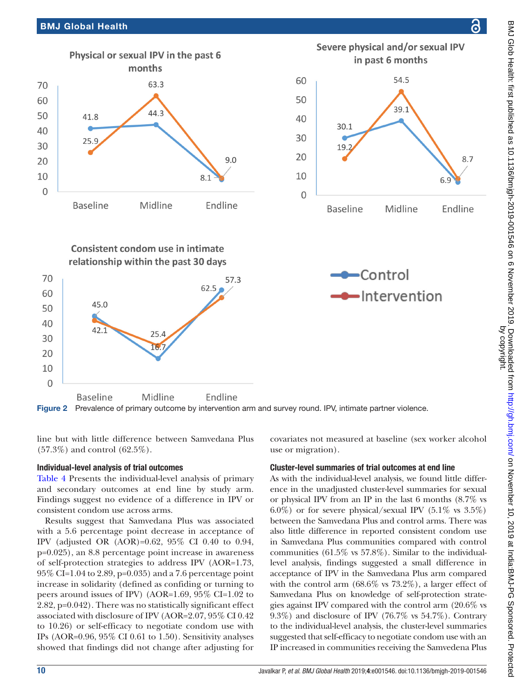

<span id="page-9-0"></span>Figure 2 Prevalence of primary outcome by intervention arm and survey round. IPV, intimate partner violence.

line but with little difference between Samvedana Plus (57.3%) and control (62.5%).

### Individual-level analysis of trial outcomes

[Table](#page-10-0) 4 Presents the individual-level analysis of primary and secondary outcomes at end line by study arm. Findings suggest no evidence of a difference in IPV or consistent condom use across arms.

Results suggest that Samvedana Plus was associated with a 5.6 percentage point decrease in acceptance of IPV (adjusted OR (AOR)=0.62, 95% CI 0.40 to 0.94, p=0.025), an 8.8 percentage point increase in awareness of self-protection strategies to address IPV (AOR=1.73, 95% CI=1.04 to 2.89, p=0.035) and a 7.6 percentage point increase in solidarity (defined as confiding or turning to peers around issues of IPV) (AOR=1.69, 95% CI=1.02 to 2.82, p=0.042). There was no statistically significant effect associated with disclosure of IPV (AOR=2.07, 95% CI 0.42 to 10.26) or self-efficacy to negotiate condom use with IPs (AOR=0.96, 95% CI 0.61 to 1.50). Sensitivity analyses showed that findings did not change after adjusting for

covariates not measured at baseline (sex worker alcohol use or migration).

#### Cluster-level summaries of trial outcomes at end line

As with the individual-level analysis, we found little difference in the unadjusted cluster-level summaries for sexual or physical IPV from an IP in the last 6 months (8.7% vs 6.0%) or for severe physical/sexual IPV  $(5.1\% \text{ vs } 3.5\%)$ between the Samvedana Plus and control arms. There was also little difference in reported consistent condom use in Samvedana Plus communities compared with control communities (61.5% vs 57.8%). Similar to the individuallevel analysis, findings suggested a small difference in acceptance of IPV in the Samvedana Plus arm compared with the control arm  $(68.6\% \text{ vs } 73.2\%)$ , a larger effect of Samvedana Plus on knowledge of self-protection strategies against IPV compared with the control arm (20.6% vs 9.3%) and disclosure of IPV (76.7% vs 54.7%). Contrary to the individual-level analysis, the cluster-level summaries suggested that self-efficacy to negotiate condom use with an IP increased in communities receiving the Samvedena Plus

a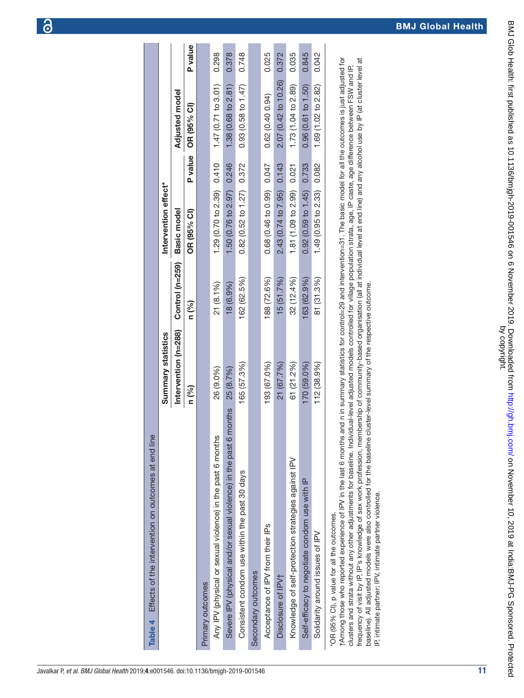| Table 4 Effects of the intervention on outcomes at end line          |                                                  |             |                               |         |                                |         |
|----------------------------------------------------------------------|--------------------------------------------------|-------------|-------------------------------|---------|--------------------------------|---------|
|                                                                      | Summary statistics                               |             | Intervention effect*          |         |                                |         |
|                                                                      | Intervention (n=288) Control (n=259) Basic model |             |                               |         | Adjusted model                 |         |
|                                                                      | n (%)                                            | n (%)       | OR (95% CI)                   | P value | OR (95% CI)                    | P value |
| Primary outcomes                                                     |                                                  |             |                               |         |                                |         |
| Any IPV (physical or sexual violence) in the past 6 months           | 26 (9.0%)                                        | 21 (8.1%)   | $1.29(0.70 to 2.39)$ 0.410    |         | 1.47 $(0.71 \text{ to } 3.01)$ | 0.298   |
| months<br>Severe IPV (physical and/or sexual violence) in the past 6 | 25 (8.7%)                                        | 18 (6.9%)   | 1.50 (0.76 to 2.97)           | 0.246   | 1.38(0.68 to 2.81)             | 0.378   |
| Consistent condom use within the past 30 days                        | 165 (57.3%)                                      | 162 (62.5%) | $0.82$ (0.52 to 1.27) $0.372$ |         | 0.93(0.58 to 1.47)             | 0.748   |
| Secondary outcomes                                                   |                                                  |             |                               |         |                                |         |
| Acceptance of IPV from their IPs                                     | 193 (67.0%)                                      | 188 (72.6%) | 0.68 (0.46 to 0.99) 0.047     |         | 0.62(0.400.94)                 | 0.025   |
| Disclosure of IPV+                                                   | 21 (67.7%)                                       | 15(51.7%)   | 2.43 (0.74 to 7.95)           | 0.143   | 2.07 (0.42 to 10.26)           | 0.372   |
| Knowledge of self-protection strategies against IPV                  | 61 (21.2%)                                       | 32 (12.4%)  | 1.81 (1.09 to 2.99)           | 0.021   | 1.73 (1.04 to 2.89)            | 0.035   |
| Self-efficacy to negotiate condom use with IP                        | 170 (59.0%)                                      | 163 (62.9%) | 0.92(0.59 to 1.45)            | 0.733   | 0.96 (0.61 to 1.50)            | 0.845   |
| Solidarity around issues of IPV                                      | 112 (38.9%)                                      | 81 (31.3%)  | 1.49 (0.95 to 2.33)           | 0.082   | 1.69 (1.02 to 2.82)            | 0.042   |
| Level College                                                        |                                                  |             |                               |         |                                |         |

<span id="page-10-0"></span>OR (95% CI), p value for all the outcomes. \*OR (95% CI), p value for all the outcomes.

fAmong those who reported experience of IPV in the last 6 months and n in summary statistics for control=29 and intervention=31. The basic model for all the outcomes is just adjusted for †Among those who reported experience of IPV in the last 6 months and n in summary statistics for control=29 and intervention=31. The basic model for all the outcomes is just adjusted for frequency of visit by IP, is knowledge of sex work profession, membership of community-based organisation (all at individual level and any alcohol use by IP (at cluster level at frequency of visit by IP, IP's knowledge of sex work profession, membership of community-based organisation (all at individual level at end line) and any alcohol use by IP (at cluster level at clusters and strata without any other adjustments for baseline. Individual-level adjusted models controlled for village population strata, age, IP caste, age difference between FSW and IP, clusters and strata without any other adjustments for baseline. Individual-level adjusted models controlled for village population strata, age, IP caste, age difference between FSW and IP, baseline). All adjusted models were also controlled for the baseline cluster-level summary of the respective outcome. baseline). All adjusted models were also controlled for the baseline cluster-level summary of the respective outcome.

IP, intimate partner; IPV, intimate partner violence. IP, intimate partner; IPV, intimate partner violence.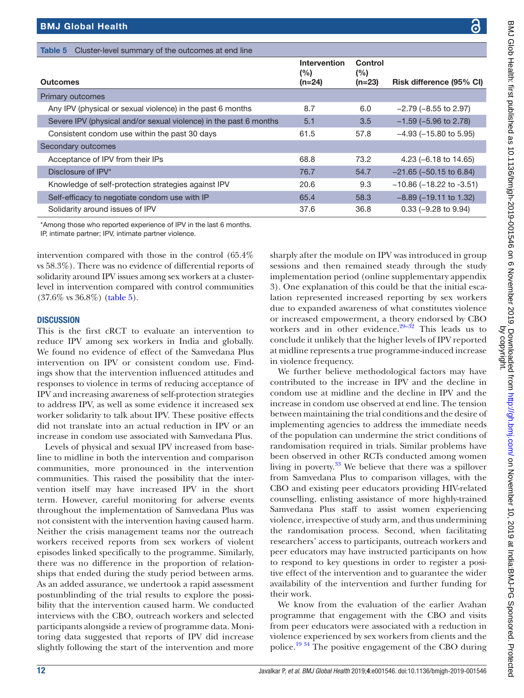<span id="page-11-0"></span>

|  | Table 5 Cluster-level summary of the outcomes at end line |  |  |  |  |  |
|--|-----------------------------------------------------------|--|--|--|--|--|
|--|-----------------------------------------------------------|--|--|--|--|--|

| <b>Rapid 3</b> Chaster-level surfilled y OF the Outcomes at end inte                                                       |                               |                   |                                  |
|----------------------------------------------------------------------------------------------------------------------------|-------------------------------|-------------------|----------------------------------|
|                                                                                                                            | <b>Intervention</b><br>$(\%)$ | Control<br>$(\%)$ |                                  |
| Outcomes                                                                                                                   | $(n=24)$                      | $(n=23)$          | Risk difference (95% CI)         |
| <b>Primary outcomes</b>                                                                                                    |                               |                   |                                  |
| Any IPV (physical or sexual violence) in the past 6 months                                                                 | 8.7                           | 6.0               | $-2.79$ ( $-8.55$ to 2.97)       |
| Severe IPV (physical and/or sexual violence) in the past 6 months                                                          | 5.1                           | 3.5               | $-1.59$ ( $-5.96$ to 2.78)       |
| Consistent condom use within the past 30 days                                                                              | 61.5                          | 57.8              | $-4.93$ ( $-15.80$ to 5.95)      |
| Secondary outcomes                                                                                                         |                               |                   |                                  |
| Acceptance of IPV from their IPs                                                                                           | 68.8                          | 73.2              | 4.23 $(-6.18 \text{ to } 14.65)$ |
| Disclosure of IPV*                                                                                                         | 76.7                          | 54.7              | $-21.65$ ( $-50.15$ to 6.84)     |
| Knowledge of self-protection strategies against IPV                                                                        | 20.6                          | 9.3               | $-10.86$ ( $-18.22$ to $-3.51$ ) |
| Self-efficacy to negotiate condom use with IP                                                                              | 65.4                          | 58.3              | $-8.89$ ( $-19.11$ to 1.32)      |
| Solidarity around issues of IPV                                                                                            | 37.6                          | 36.8              | $0.33$ (-9.28 to 9.94)           |
| *Among those who reported experience of IPV in the last 6 months.<br>ID intimate manta con IDV intimate manta consistence: |                               |                   |                                  |

IP, intimate partner; IPV, intimate partner violence.

intervention compared with those in the control (65.4% vs 58.3%). There was no evidence of differential reports of solidarity around IPV issues among sex workers at a clusterlevel in intervention compared with control communities (37.6% vs 36.8%) ([table](#page-11-0) 5).

#### **DISCUSSION**

This is the first cRCT to evaluate an intervention to reduce IPV among sex workers in India and globally. We found no evidence of effect of the Samvedana Plus intervention on IPV or consistent condom use. Findings show that the intervention influenced attitudes and responses to violence in terms of reducing acceptance of IPV and increasing awareness of self-protection strategies to address IPV, as well as some evidence it increased sex worker solidarity to talk about IPV. These positive effects did not translate into an actual reduction in IPV or an increase in condom use associated with Samvedana Plus.

Levels of physical and sexual IPV increased from baseline to midline in both the intervention and comparison communities, more pronounced in the intervention communities. This raised the possibility that the intervention itself may have increased IPV in the short term. However, careful monitoring for adverse events throughout the implementation of Samvedana Plus was not consistent with the intervention having caused harm. Neither the crisis management teams nor the outreach workers received reports from sex workers of violent episodes linked specifically to the programme. Similarly, there was no difference in the proportion of relationships that ended during the study period between arms. As an added assurance, we undertook a rapid assessment postunblinding of the trial results to explore the possibility that the intervention caused harm. We conducted interviews with the CBO, outreach workers and selected participants alongside a review of programme data. Monitoring data suggested that reports of IPV did increase slightly following the start of the intervention and more

sharply after the module on IPV was introduced in group sessions and then remained steady through the study implementation period ([online supplementary appendix](https://dx.doi.org/10.1136/bmjgh-2019-001546) [3](https://dx.doi.org/10.1136/bmjgh-2019-001546)). One explanation of this could be that the initial escalation represented increased reporting by sex workers due to expanded awareness of what constitutes violence or increased empowerment, a theory endorsed by CBO workers and in other evidence. $29-32$  This leads us to conclude it unlikely that the higher levels of IPV reported at midline represents a true programme-induced increase in violence frequency.

We further believe methodological factors may have contributed to the increase in IPV and the decline in condom use at midline and the decline in IPV and the increase in condom use observed at end line. The tension between maintaining the trial conditions and the desire of implementing agencies to address the immediate needs of the population can undermine the strict conditions of randomisation required in trials. Similar problems have been observed in other RCTs conducted among women living in poverty. $33$  We believe that there was a spillover from Samvedana Plus to comparison villages, with the CBO and existing peer educators providing HIV-related counselling, enlisting assistance of more highly-trained Samvedana Plus staff to assist women experiencing violence, irrespective of study arm, and thus undermining the randomisation process. Second, when facilitating researchers' access to participants, outreach workers and peer educators may have instructed participants on how to respond to key questions in order to register a positive effect of the intervention and to guarantee the wider availability of the intervention and further funding for their work.

We know from the evaluation of the earlier Avahan programme that engagement with the CBO and visits from peer educators were associated with a reduction in violence experienced by sex workers from clients and the police.<sup>19 34</sup> The positive engagement of the CBO during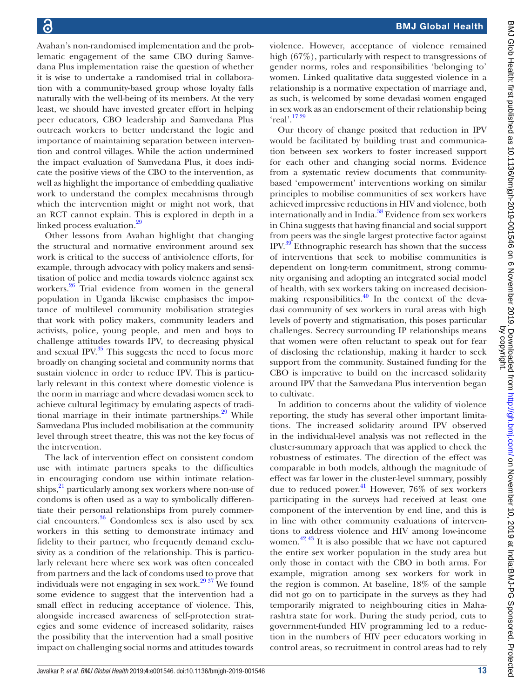Avahan's non-randomised implementation and the problematic engagement of the same CBO during Samvedana Plus implementation raise the question of whether it is wise to undertake a randomised trial in collaboration with a community-based group whose loyalty falls naturally with the well-being of its members. At the very least, we should have invested greater effort in helping peer educators, CBO leadership and Samvedana Plus outreach workers to better understand the logic and importance of maintaining separation between intervention and control villages. While the action undermined the impact evaluation of Samvedana Plus, it does indicate the positive views of the CBO to the intervention, as well as highlight the importance of embedding qualiative work to understand the complex mecahnisms through which the intervention might or might not work, that an RCT cannot explain. This is explored in depth in a linked process evaluation.<sup>[29](#page-14-11)</sup>

Other lessons from Avahan highlight that changing the structural and normative environment around sex work is critical to the success of antiviolence efforts, for example, through advocacy with policy makers and sensitisation of police and media towards violence against sex workers[.26](#page-14-8) Trial evidence from women in the general population in Uganda likewise emphasises the importance of multilevel community mobilisation strategies that work with policy makers, community leaders and activists, police, young people, and men and boys to challenge attitudes towards IPV, to decreasing physical and sexual IPV.<sup>35</sup> This suggests the need to focus more broadly on changing societal and community norms that sustain violence in order to reduce IPV. This is particularly relevant in this context where domestic violence is the norm in marriage and where devadasi women seek to achieve cultural legitimacy by emulating aspects of traditional marriage in their intimate partnerships. $29$  While Samvedana Plus included mobilisation at the community level through street theatre, this was not the key focus of the intervention.

The lack of intervention effect on consistent condom use with intimate partners speaks to the difficulties in encouraging condom use within intimate relation-ships,<sup>[21](#page-14-5)</sup> particularly among sex workers where non-use of condoms is often used as a way to symbolically differentiate their personal relationships from purely commercial encounters[.36](#page-14-14) Condomless sex is also used by sex workers in this setting to demonstrate intimacy and fidelity to their partner, who frequently demand exclusivity as a condition of the relationship. This is particularly relevant here where sex work was often concealed from partners and the lack of condoms used to prove that individuals were not engaging in sex work.<sup>29 37</sup> We found some evidence to suggest that the intervention had a small effect in reducing acceptance of violence. This, alongside increased awareness of self-protection strategies and some evidence of increased solidarity, raises the possibility that the intervention had a small positive impact on challenging social norms and attitudes towards

violence. However, acceptance of violence remained high (67%), particularly with respect to transgressions of gender norms, roles and responsibilities 'belonging to' women. Linked qualitative data suggested violence in a relationship is a normative expectation of marriage and, as such, is welcomed by some devadasi women engaged in sex work as an endorsement of their relationship being 'real'.[17 29](#page-14-1)

Our theory of change posited that reduction in IPV would be facilitated by building trust and communication between sex workers to foster increased support for each other and changing social norms. Evidence from a systematic review documents that communitybased 'empowerment' interventions working on similar principles to mobilise communities of sex workers have achieved impressive reductions in HIV and violence, both internationally and in India.<sup>38</sup> Evidence from sex workers in China suggests that having financial and social support from peers was the single largest protective factor against IPV.[39](#page-14-16) Ethnographic research has shown that the success of interventions that seek to mobilise communities is dependent on long-term commitment, strong community organising and adopting an integrated social model of health, with sex workers taking on increased decisionmaking responsibilities. $40$  In the context of the devadasi community of sex workers in rural areas with high levels of poverty and stigmatisation, this poses particular challenges. Secrecy surrounding IP relationships means that women were often reluctant to speak out for fear of disclosing the relationship, making it harder to seek support from the community. Sustained funding for the CBO is imperative to build on the increased solidarity around IPV that the Samvedana Plus intervention began to cultivate.

In addition to concerns about the validity of violence reporting, the study has several other important limitations. The increased solidarity around IPV observed in the individual-level analysis was not reflected in the cluster-summary approach that was applied to check the robustness of estimates. The direction of the effect was comparable in both models, although the magnitude of effect was far lower in the cluster-level summary, possibly due to reduced power.<sup>41</sup> However, 76% of sex workers participating in the surveys had received at least one component of the intervention by end line, and this is in line with other community evaluations of interventions to address violence and HIV among low-income women[.42 43](#page-14-19) It is also possible that we have not captured the entire sex worker population in the study area but only those in contact with the CBO in both arms. For example, migration among sex workers for work in the region is common. At baseline, 18% of the sample did not go on to participate in the surveys as they had temporarily migrated to neighbouring cities in Maharashtra state for work. During the study period, cuts to government-funded HIV programming led to a reduction in the numbers of HIV peer educators working in control areas, so recruitment in control areas had to rely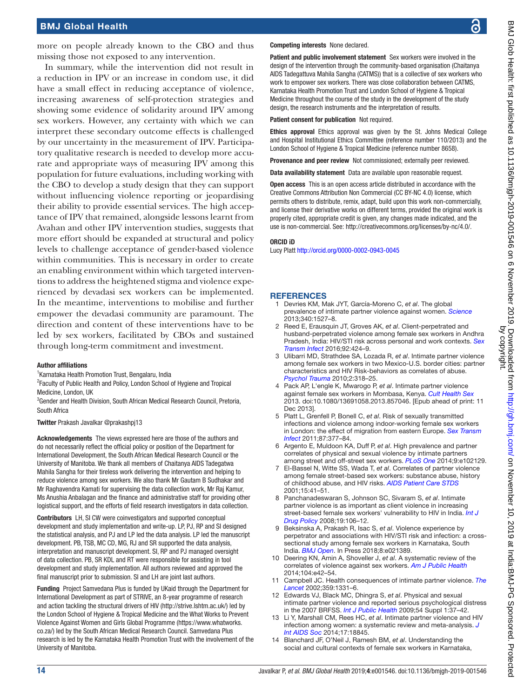more on people already known to the CBO and thus missing those not exposed to any intervention.

In summary, while the intervention did not result in a reduction in IPV or an increase in condom use, it did have a small effect in reducing acceptance of violence, increasing awareness of self-protection strategies and showing some evidence of solidarity around IPV among sex workers. However, any certainty with which we can interpret these secondary outcome effects is challenged by our uncertainty in the measurement of IPV. Participatory qualitative research is needed to develop more accurate and appropriate ways of measuring IPV among this population for future evaluations, including working with the CBO to develop a study design that they can support without influencing violence reporting or jeopardising their ability to provide essential services. The high acceptance of IPV that remained, alongside lessons learnt from Avahan and other IPV intervention studies, suggests that more effort should be expanded at structural and policy levels to challenge acceptance of gender-based violence within communities. This is necessary in order to create an enabling environment within which targeted interventions to address the heightened stigma and violence experienced by devadasi sex workers can be implemented. In the meantime, interventions to mobilise and further empower the devadasi community are paramount. The direction and content of these interventions have to be led by sex workers, facilitated by CBOs and sustained through long-term commitment and investment.

#### Author affiliations

<sup>1</sup> Karnataka Health Promotion Trust, Bengalaru, India

<sup>2</sup> Faculty of Public Health and Policy, London School of Hygiene and Tropical Medicine, London, UK

<sup>3</sup>Gender and Health Division, South African Medical Research Council, Pretoria, South Africa

#### Twitter Prakash Javalkar [@prakashpj13](https://twitter.com/prakashpj13)

Acknowledgements The views expressed here are those of the authors and do not necessarily reflect the official policy or position of the Department for International Development, the South African Medical Research Council or the University of Manitoba. We thank all members of Chaitanya AIDS Tadegatwa Mahila Sangha for their tireless work delivering the intervention and helping to reduce violence among sex workers. We also thank Mr Gautam B Sudhakar and Mr Raghavendra Kamati for supervising the data collection work, Mr Raj Kamur, Ms Anushia Anbalagan and the finance and administrative staff for providing other logistical support, and the efforts of field research investigators in data collection.

Contributors LH, SI CW were coinvestigators and supported conceptual development and study implementation and write-up. LP, PJ, RP and SI designed the statistical analysis, and PJ and LP led the data analysis. LP led the manuscript development. PB, TSB, MC CD, MG, RJ and SR supported the data analysis, interpretation and manuscript development. SI, RP and PJ managed oversight of data collection. PB, SR KDL and RT were responsible for assisting in tool development and study implementation. All authors reviewed and approved the final manuscript prior to submission. SI and LH are joint last authors.

Funding Project Samvedana Plus is funded by UKaid through the Department for International Development as part of STRIVE, an 8-year programme of research and action tackling the structural drivers of HIV [\(http://strive.lshtm.ac.uk/](http://strive.lshtm.ac.uk/)) led by the London School of Hygiene & Tropical Medicine and the What Works to Prevent Violence Against Women and Girls Global Programme ([https://www.whatworks.](https://www.whatworks.co.za/) [co.za/\)](https://www.whatworks.co.za/) led by the South African Medical Research Council. Samvedana Plus research is led by the Karnataka Health Promotion Trust with the involvement of the University of Manitoba.

#### Competing interests None declared.

Patient and public involvement statement Sex workers were involved in the design of the intervention through the community-based organisation (Chaitanya AIDS Tadegattuva Mahila Sangha (CATMS)) that is a collective of sex workers who work to empower sex workers. There was close collaboration between CATMS, Karnataka Health Promotion Trust and London School of Hygiene & Tropical Medicine throughout the course of the study in the development of the study design, the research instruments and the interpretation of results.

Patient consent for publication Not required.

Ethics approval Ethics approval was given by the St. Johns Medical College and Hospital Institutional Ethics Committee (reference number 110/2013) and the London School of Hygiene & Tropical Medicine (reference number 8658).

Provenance and peer review Not commissioned; externally peer reviewed.

Data availability statement Data are available upon reasonable request.

Open access This is an open access article distributed in accordance with the Creative Commons Attribution Non Commercial (CC BY-NC 4.0) license, which permits others to distribute, remix, adapt, build upon this work non-commercially, and license their derivative works on different terms, provided the original work is properly cited, appropriate credit is given, any changes made indicated, and the use is non-commercial. See: [http://creativecommons.org/licenses/by-nc/4.0/.](http://creativecommons.org/licenses/by-nc/4.0/)

#### ORCID iD

Lucy Platt <http://orcid.org/0000-0002-0943-0045>

#### **REFERENCES**

- <span id="page-13-0"></span>1 Devries KM, Mak JYT, García-Moreno C, *et al*. The global prevalence of intimate partner violence against women. *[Science](http://dx.doi.org/10.1126/science.1240937)* 2013;340:1527–8.
- <span id="page-13-1"></span>2 Reed E, Erausquin JT, Groves AK, *et al*. Client-perpetrated and husband-perpetrated violence among female sex workers in Andhra Pradesh, India: HIV/STI risk across personal and work contexts. *[Sex](http://dx.doi.org/10.1136/sextrans-2015-052162)  [Transm Infect](http://dx.doi.org/10.1136/sextrans-2015-052162)* 2016;92:424–9.
- <span id="page-13-2"></span>3 Ulibarri MD, Strathdee SA, Lozada R, *et al*. Intimate partner violence among female sex workers in two Mexico-U.S. border cities: partner characteristics and HIV Risk-behaviors as correlates of abuse. *[Psychol Trauma](http://dx.doi.org/10.1037/a0017500)* 2010;2:318–25.
- <span id="page-13-3"></span>4 Pack AP, L'engle K, Mwarogo P, *et al*. Intimate partner violence against female sex workers in Mombasa, Kenya. *[Cult Health Sex](http://dx.doi.org/10.1080/13691058.2013.857046)* 2013. doi:10.1080/13691058.2013.857046. [Epub ahead of print: 11 Dec 2013].
- <span id="page-13-4"></span>5 Platt L, Grenfell P, Bonell C, *et al*. Risk of sexually transmitted infections and violence among indoor-working female sex workers in London: the effect of migration from eastern Europe. *[Sex Transm](http://dx.doi.org/10.1136/sti.2011.049544)  [Infect](http://dx.doi.org/10.1136/sti.2011.049544)* 2011;87:377–84.
- 6 Argento E, Muldoon KA, Duff P, *et al*. High prevalence and partner correlates of physical and sexual violence by intimate partners among street and off-street sex workers. *[PLoS One](http://dx.doi.org/10.1371/journal.pone.0102129)* 2014;9:e102129.
- 7 El-Bassel N, Witte SS, Wada T, *et al*. Correlates of partner violence among female street-based sex workers: substance abuse, history of childhood abuse, and HIV risks. *[AIDS Patient Care STDS](http://dx.doi.org/10.1089/108729101460092)* 2001;15:41–51.
- <span id="page-13-5"></span>8 Panchanadeswaran S, Johnson SC, Sivaram S, *et al*. Intimate partner violence is as important as client violence in increasing street-based female sex workers' vulnerability to HIV in India. *[Int J](http://dx.doi.org/10.1016/j.drugpo.2007.11.013)  [Drug Policy](http://dx.doi.org/10.1016/j.drugpo.2007.11.013)* 2008;19:106–12.
- 9 Beksinska A, Prakash R, Isac S, *et al*. Violence experience by perpetrator and associations with HIV/STI risk and infection: a crosssectional study among female sex workers in Karnataka, South India. *[BMJ Open](http://dx.doi.org/10.1136/bmjopen-2017-021389)*. In Press 2018;8:e021389.
- <span id="page-13-6"></span>10 Deering KN, Amin A, Shoveller J, *et al*. A systematic review of the correlates of violence against sex workers. *[Am J Public Health](http://dx.doi.org/10.2105/AJPH.2014.301909)* 2014;104:e42–54.
- <span id="page-13-7"></span>11 Campbell JC. Health consequences of intimate partner violence. *[The](http://dx.doi.org/10.1016/S0140-6736(02)08336-8) [Lancet](http://dx.doi.org/10.1016/S0140-6736(02)08336-8)* 2002;359:1331–6.
- 12 Edwards VJ, Black MC, Dhingra S, *et al*. Physical and sexual intimate partner violence and reported serious psychological distress in the 2007 BRFSS. *[Int J Public Health](http://dx.doi.org/10.1007/s00038-009-0005-2)* 2009;54 Suppl 1:37–42.
- 13 Li Y, Marshall CM, Rees HC, *et al*. Intimate partner violence and HIV infection among women: a systematic review and meta-analysis. *[J](http://dx.doi.org/10.7448/IAS.17.1.18845)  [Int AIDS Soc](http://dx.doi.org/10.7448/IAS.17.1.18845)* 2014;17:18845.
- <span id="page-13-8"></span>14 Blanchard JF, O'Neil J, Ramesh BM, *et al*. Understanding the social and cultural contexts of female sex workers in Karnataka,

Я